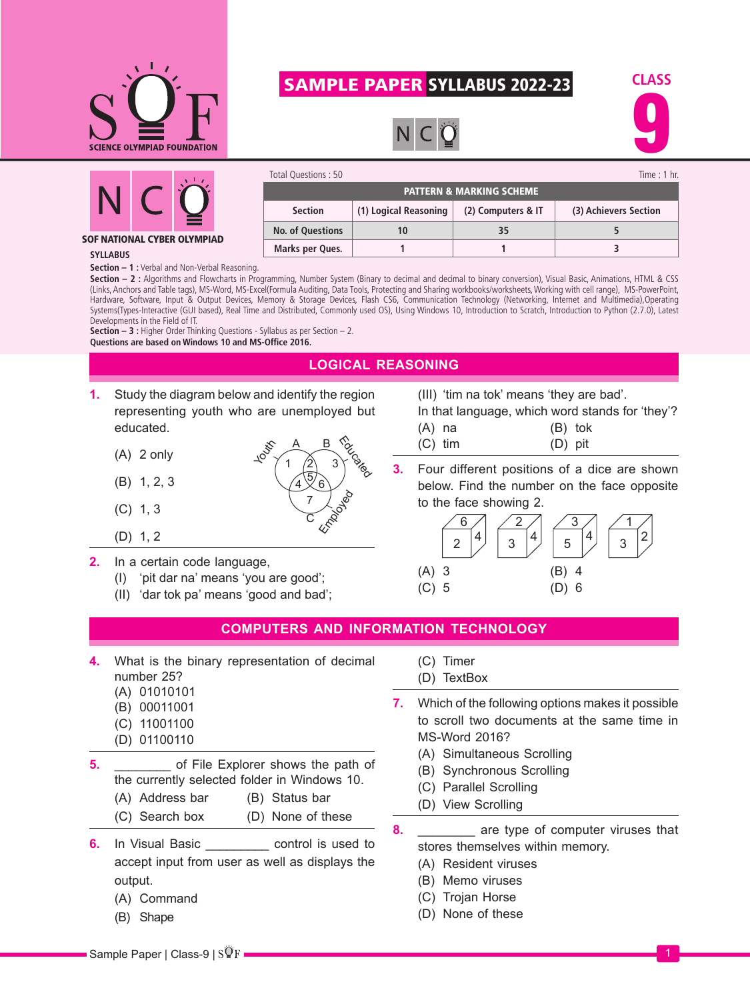

# SAMPLE PAPER SYLLABUS 2022-23

PATTERN & MARKING SCHEME **Section (1) Logical Reasoning (2) Computers & IT (3) Achievers Section**

Total Questions : 50 Time : 1 hr.

**No. of Questions 10 35 5 Marks per Ques. 1 1 3**





#### SOF NATIONAL CYBER OLYMPIAD

#### **SYLLABUS**

**Section – 1 :** Verbal and Non-Verbal Reasoning.

Section - 2 : Algorithms and Flowcharts in Programming, Number System (Binary to decimal and decimal to binary conversion), Visual Basic, Animations, HTML & CSS (Links, Anchors and Table tags), MS-Word, MS-Excel(Formula Auditing, Data Tools, Protecting and Sharing workbooks/worksheets, Working with cell range), MS-PowerPoint, Hardware, Software, Input & Output Devices, Memory & Storage Devices, Flash CS6, Communication Technology (Networking, Internet and Multimedia),Operating Systems(Types-Interactive (GUI based), Real Time and Distributed, Commonly used OS), Using Windows 10, Introduction to Scratch, Introduction to Python (2.7.0), Latest Developments in the Field of IT.

**Section – 3 :** Higher Order Thinking Questions - Syllabus as per Section – 2. **Questions are based on Windows 10 and MS-Office 2016.**

## **LOGICAL REASONING**

Education

Employed

3

C

 $4\frac{5}{6}$ 7

B

**1.** Study the diagram below and identify the region representing youth who are unemployed but educated.

 $\triangle$ 

Youth

- $(A)$  2 only
- (B) 1, 2, 3
- (C) 1, 3
- (D) 1, 2
- **2.** In a certain code language,
	- (I) 'pit dar na' means 'you are good';
	- (II) 'dar tok pa' means 'good and bad';
- (III) 'tim na tok' means 'they are bad'.
- In that language, which word stands for 'they'? (A) na (B) tok (C) tim (D) pit
- **3.** Four different positions of a dice are shown below. Find the number on the face opposite to the face showing 2.



## **COMPUTERS AND INFORMATION TECHNOLOGY**

- **4.** What is the binary representation of decimal number 25?
	- (A) 01010101
	- (B) 00011001
	- (C) 11001100
	- (D) 01100110

**5.** \_\_\_\_\_\_\_\_ of File Explorer shows the path of the currently selected folder in Windows 10.

(A) Address bar (B) Status bar

- (C) Search box (D) None of these
- **6.** In Visual Basic **business** control is used to accept input from user as well as displays the output.
	- (A) Command
	- (B) Shape
- (C) Timer
- (D) TextBox
- **7.** Which of the following options makes it possible to scroll two documents at the same time in MS-Word 2016?
	- (A) Simultaneous Scrolling
	- (B) Synchronous Scrolling
	- (C) Parallel Scrolling
	- (D) View Scrolling
- **8. are type of computer viruses that** stores themselves within memory.
	- (A) Resident viruses
	- (B) Memo viruses
	- (C) Trojan Horse
	- (D) None of these